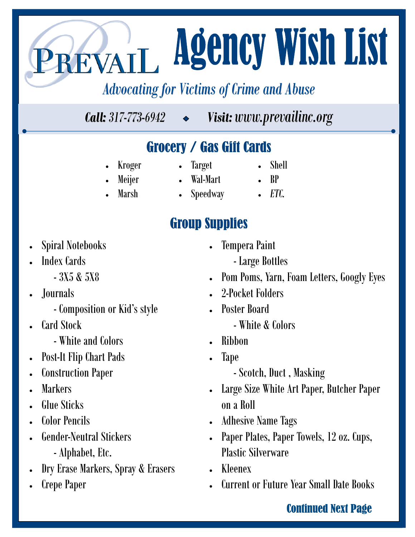# **Agency Wish List** REVAIL

## Advocating for Victims of Crime and Abuse

*Call: 317-773-6942 Visit: www.prevailinc.org www.prevailinc.org*

## Grocery / Gas Gift Cards Grocery / Gas Gift Cards

- Kroger
- Target
- Shell
- Meijer
- 
- Marsh
- Speedway

## **Group Supplies**

- Spiral Notebooks
- Index Cards
	- 3X5 & 5X8
- Journals
	- Composition or Kid's style
- Card Stock
	- White and Colors
	- Post-It Flip Chart Pads
- Construction Paper
- **Markers**
- Glue Sticks
- Color Pencils
- Gender-Neutral Stickers
	- Alphabet, Etc.
- Dry Erase Markers, Spray & Erasers
- Crepe Paper
- Tempera Paint
	- Large Bottles
- Pom Poms, Yarn, Foam Letters, Googly Eyes
- 2-Pocket Folders
- Poster Board
	- White & Colors
- Ribbon
- Tape
	- Scotch, Duct , Masking
- Large Size White Art Paper, Butcher Paper on a Roll
- Adhesive Name Tags
- Paper Plates, Paper Towels, 12 oz. Cups, Plastic Silverware
- Kleenex
- Current or Future Year Small Date Books

#### **Continued Next Page**

- Wal-Mart
- BP
- 
- *ETC.*